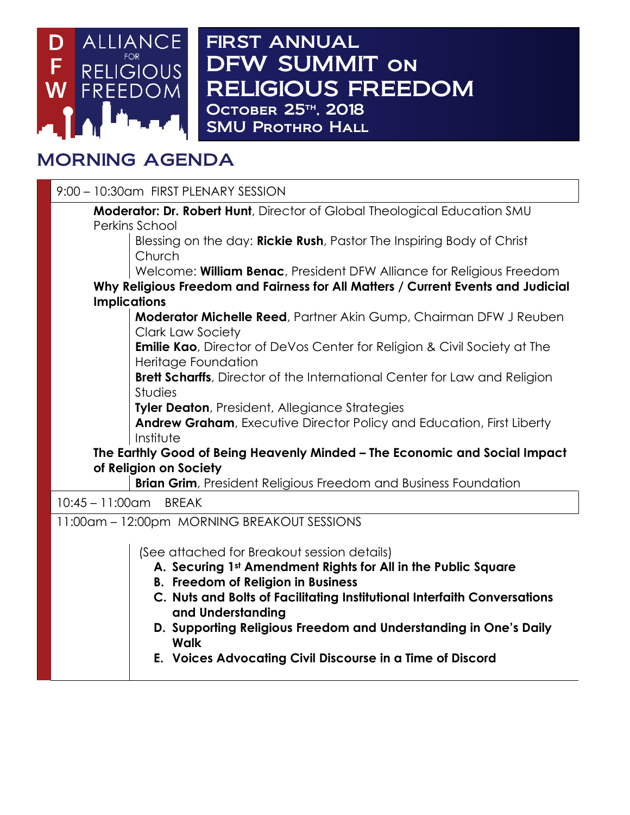

## FIRST ANNUAL DFW SUMMIT on RELIGIOUS FREEDOM OCTOBER 25<sup>TH</sup>, 2018 **SMU PROTHRO HALL**

## MORNING AGENDA

| 9:00 - 10:30am FIRST PLENARY SESSION                                                                    |  |  |  |
|---------------------------------------------------------------------------------------------------------|--|--|--|
| <b>Moderator: Dr. Robert Hunt</b> , Director of Global Theological Education SMU                        |  |  |  |
| <b>Perkins School</b>                                                                                   |  |  |  |
| Blessing on the day: Rickie Rush, Pastor The Inspiring Body of Christ<br>Church                         |  |  |  |
| Welcome: William Benac, President DFW Alliance for Religious Freedom                                    |  |  |  |
| Why Religious Freedom and Fairness for All Matters / Current Events and Judicial                        |  |  |  |
| <b>Implications</b>                                                                                     |  |  |  |
| Moderator Michelle Reed, Partner Akin Gump, Chairman DFW J Reuben<br><b>Clark Law Society</b>           |  |  |  |
| <b>Emilie Kao</b> , Director of DeVos Center for Religion & Civil Society at The<br>Heritage Foundation |  |  |  |
| <b>Brett Scharffs</b> , Director of the International Center for Law and Religion<br><b>Studies</b>     |  |  |  |
|                                                                                                         |  |  |  |
| <b>Tyler Deaton</b> , President, Allegiance Strategies                                                  |  |  |  |
| <b>Andrew Graham, Executive Director Policy and Education, First Liberty</b><br>Institute               |  |  |  |
| The Earthly Good of Being Heavenly Minded - The Economic and Social Impact                              |  |  |  |
| of Religion on Society                                                                                  |  |  |  |
| <b>Brian Grim</b> , President Religious Freedom and Business Foundation                                 |  |  |  |
| 10:45 - 11:00 am BREAK                                                                                  |  |  |  |
| 11:00am - 12:00pm MORNING BREAKOUT SESSIONS                                                             |  |  |  |
| (See attached for Breakout session details)                                                             |  |  |  |
| A. Securing 1st Amendment Rights for All in the Public Square                                           |  |  |  |
| <b>B. Freedom of Religion in Business</b>                                                               |  |  |  |
| C. Nuts and Bolts of Facilitating Institutional Interfaith Conversations                                |  |  |  |
| and Understanding                                                                                       |  |  |  |
| D. Supporting Religious Freedom and Understanding in One's Daily                                        |  |  |  |

- **Walk**
- **E. Voices Advocating Civil Discourse in a Time of Discord**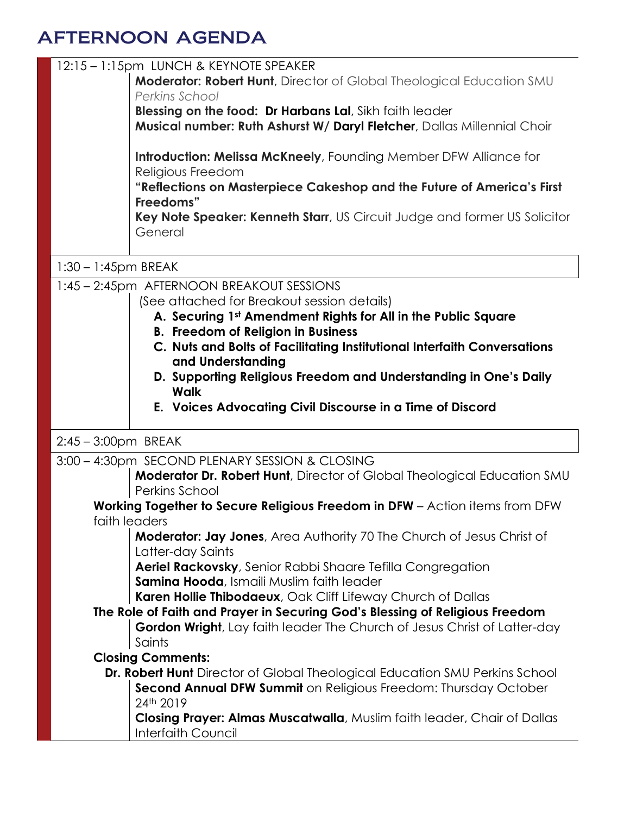## AFTERNOON AGENDA

|                        | 12:15 - 1:15pm LUNCH & KEYNOTE SPEAKER<br><b>Moderator: Robert Hunt, Director of Global Theological Education SMU</b>                                            |
|------------------------|------------------------------------------------------------------------------------------------------------------------------------------------------------------|
|                        | Perkins School                                                                                                                                                   |
|                        | Blessing on the food: Dr Harbans Lal, Sikh faith leader                                                                                                          |
|                        | Musical number: Ruth Ashurst W/ Daryl Fletcher, Dallas Millennial Choir                                                                                          |
|                        | <b>Introduction: Melissa McKneely, Founding Member DFW Alliance for</b>                                                                                          |
|                        | Religious Freedom<br>"Reflections on Masterpiece Cakeshop and the Future of America's First                                                                      |
|                        | Freedoms"                                                                                                                                                        |
|                        | Key Note Speaker: Kenneth Starr, US Circuit Judge and former US Solicitor                                                                                        |
|                        | General                                                                                                                                                          |
| $1:30 - 1:45$ pm BREAK |                                                                                                                                                                  |
|                        | 1:45 - 2:45pm AFTERNOON BREAKOUT SESSIONS                                                                                                                        |
|                        | (See attached for Breakout session details)                                                                                                                      |
|                        | A. Securing 1st Amendment Rights for All in the Public Square<br><b>B. Freedom of Religion in Business</b>                                                       |
|                        | C. Nuts and Bolts of Facilitating Institutional Interfaith Conversations                                                                                         |
|                        | and Understanding                                                                                                                                                |
|                        | D. Supporting Religious Freedom and Understanding in One's Daily                                                                                                 |
|                        | <b>Walk</b><br>E. Voices Advocating Civil Discourse in a Time of Discord                                                                                         |
|                        |                                                                                                                                                                  |
| $2:45 - 3:00$ pm BREAK |                                                                                                                                                                  |
|                        | 3:00 - 4:30pm SECOND PLENARY SESSION & CLOSING                                                                                                                   |
|                        | <b>Moderator Dr. Robert Hunt</b> , Director of Global Theological Education SMU<br>Perkins School                                                                |
|                        | Working Together to Secure Religious Freedom in DFW - Action items from DFW                                                                                      |
|                        | faith leaders                                                                                                                                                    |
|                        | <b>Moderator: Jay Jones</b> , Area Authority 70 The Church of Jesus Christ of<br>Latter-day Saints                                                               |
|                        | Aeriel Rackovsky, Senior Rabbi Shaare Tefilla Congregation                                                                                                       |
|                        | Samina Hooda, Ismaili Muslim faith leader                                                                                                                        |
|                        | Karen Hollie Thibodaeux, Oak Cliff Lifeway Church of Dallas                                                                                                      |
|                        | The Role of Faith and Prayer in Securing God's Blessing of Religious Freedom<br><b>Gordon Wright</b> , Lay faith leader The Church of Jesus Christ of Latter-day |
|                        | Saints                                                                                                                                                           |
|                        | <b>Closing Comments:</b>                                                                                                                                         |
|                        | Dr. Robert Hunt Director of Global Theological Education SMU Perkins School                                                                                      |
|                        | <b>Second Annual DFW Summit</b> on Religious Freedom: Thursday October                                                                                           |
|                        | 24th 2019<br>Closing Prayer: Almas Muscatwalla, Muslim faith leader, Chair of Dallas                                                                             |
|                        | Interfaith Council                                                                                                                                               |